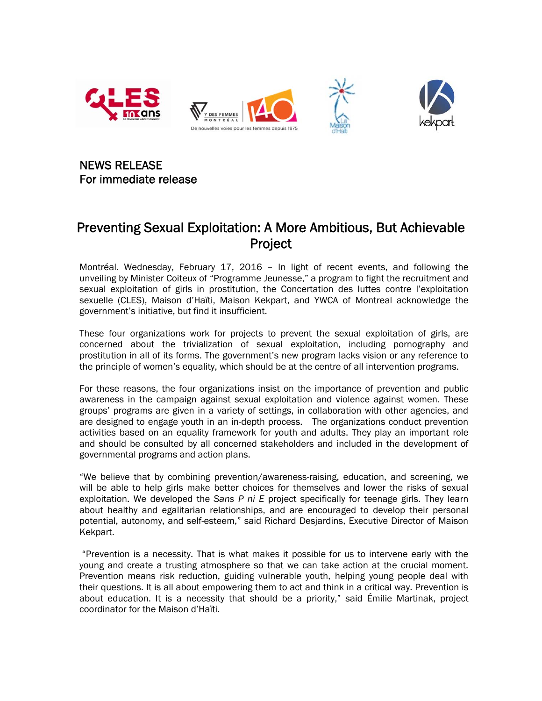

NEWS RELEASE For immediate release

## Preventing Sexual Exploitation: A More Ambitious, But Achievable **Project**

Montréal. Wednesday, February 17, 2016 – In light of recent events, and following the unveiling by Minister Coiteux of "Programme Jeunesse," a program to fight the recruitment and sexual exploitation of girls in prostitution, the Concertation des luttes contre l'exploitation sexuelle (CLES), Maison d'Haïti, Maison Kekpart, and YWCA of Montreal acknowledge the government's initiative, but find it insufficient.

These four organizations work for projects to prevent the sexual exploitation of girls, are concerned about the trivialization of sexual exploitation, including pornography and prostitution in all of its forms. The government's new program lacks vision or any reference to the principle of women's equality, which should be at the centre of all intervention programs.

For these reasons, the four organizations insist on the importance of prevention and public awareness in the campaign against sexual exploitation and violence against women. These groups' programs are given in a variety of settings, in collaboration with other agencies, and are designed to engage youth in an in-depth process. The organizations conduct prevention activities based on an equality framework for youth and adults. They play an important role and should be consulted by all concerned stakeholders and included in the development of governmental programs and action plans.

"We believe that by combining prevention/awareness-raising, education, and screening, we will be able to help girls make better choices for themselves and lower the risks of sexual exploitation. We developed the *Sans P ni E* project specifically for teenage girls. They learn about healthy and egalitarian relationships, and are encouraged to develop their personal potential, autonomy, and self-esteem," said Richard Desjardins, Executive Director of Maison Kekpart.

"Prevention is a necessity. That is what makes it possible for us to intervene early with the young and create a trusting atmosphere so that we can take action at the crucial moment. Prevention means risk reduction, guiding vulnerable youth, helping young people deal with their questions. It is all about empowering them to act and think in a critical way. Prevention is about education. It is a necessity that should be a priority," said Émilie Martinak, project coordinator for the Maison d'Haïti.